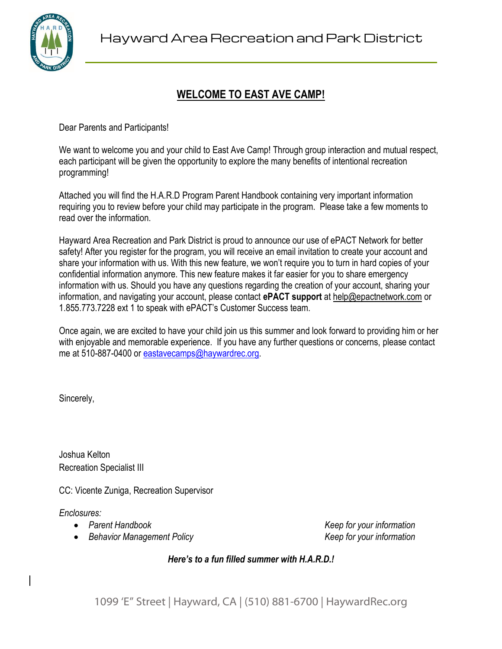

# **WELCOME TO EAST AVE CAMP!**

Dear Parents and Participants!

We want to welcome you and your child to East Ave Camp! Through group interaction and mutual respect, each participant will be given the opportunity to explore the many benefits of intentional recreation programming!

Attached you will find the H.A.R.D Program Parent Handbook containing very important information requiring you to review before your child may participate in the program. Please take a few moments to read over the information.

Hayward Area Recreation and Park District is proud to announce our use of ePACT Network for better safety! After you register for the program, you will receive an email invitation to create your account and share your information with us. With this new feature, we won't require you to turn in hard copies of your confidential information anymore. This new feature makes it far easier for you to share emergency information with us. Should you have any questions regarding the creation of your account, sharing your information, and navigating your account, please contact **ePACT support** at [help@epactnetwork.com](mailto:help@epactnetwork.com) or 1.855.773.7228 ext 1 to speak with ePACT's Customer Success team.

Once again, we are excited to have your child join us this summer and look forward to providing him or her with enjoyable and memorable experience. If you have any further questions or concerns, please contact me at 510-887-0400 or [eastavecamps@haywardrec.org.](mailto:eastavecamps@haywardrec.org)

Sincerely,

Joshua Kelton Recreation Specialist III

CC: Vicente Zuniga, Recreation Supervisor

*Enclosures:*

- 
- *Behavior Management Policy Keep for your information*

*Parent Handbook Keep for your information*

*Here's to a fun filled summer with H.A.R.D.!*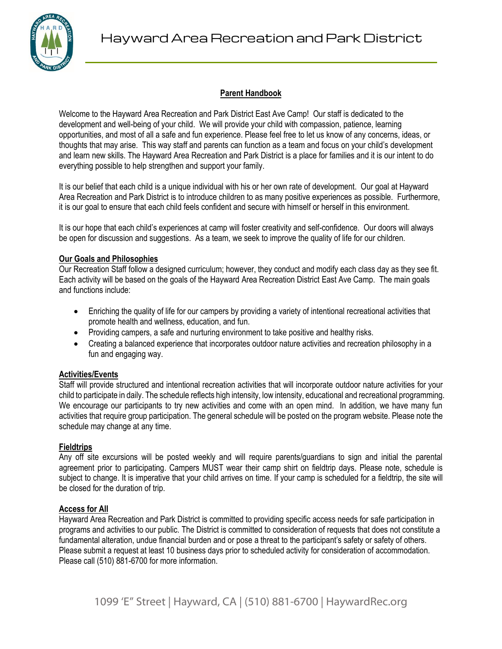

## **Parent Handbook**

Welcome to the Hayward Area Recreation and Park District East Ave Camp! Our staff is dedicated to the development and well-being of your child. We will provide your child with compassion, patience, learning opportunities, and most of all a safe and fun experience. Please feel free to let us know of any concerns, ideas, or thoughts that may arise. This way staff and parents can function as a team and focus on your child's development and learn new skills. The Hayward Area Recreation and Park District is a place for families and it is our intent to do everything possible to help strengthen and support your family.

It is our belief that each child is a unique individual with his or her own rate of development. Our goal at Hayward Area Recreation and Park District is to introduce children to as many positive experiences as possible. Furthermore, it is our goal to ensure that each child feels confident and secure with himself or herself in this environment.

It is our hope that each child's experiences at camp will foster creativity and self-confidence. Our doors will always be open for discussion and suggestions. As a team, we seek to improve the quality of life for our children.

## **Our Goals and Philosophies**

Our Recreation Staff follow a designed curriculum; however, they conduct and modify each class day as they see fit. Each activity will be based on the goals of the Hayward Area Recreation District East Ave Camp. The main goals and functions include:

- Enriching the quality of life for our campers by providing a variety of intentional recreational activities that promote health and wellness, education, and fun.
- Providing campers, a safe and nurturing environment to take positive and healthy risks.
- Creating a balanced experience that incorporates outdoor nature activities and recreation philosophy in a fun and engaging way.

## **Activities/Events**

Staff will provide structured and intentional recreation activities that will incorporate outdoor nature activities for your child to participate in daily. The schedule reflects high intensity, low intensity, educational and recreational programming. We encourage our participants to try new activities and come with an open mind. In addition, we have many fun activities that require group participation. The general schedule will be posted on the program website. Please note the schedule may change at any time.

# **Fieldtrips**

Any off site excursions will be posted weekly and will require parents/guardians to sign and initial the parental agreement prior to participating. Campers MUST wear their camp shirt on fieldtrip days. Please note, schedule is subject to change. It is imperative that your child arrives on time. If your camp is scheduled for a fieldtrip, the site will be closed for the duration of trip.

# **Access for All**

Hayward Area Recreation and Park District is committed to providing specific access needs for safe participation in programs and activities to our public. The District is committed to consideration of requests that does not constitute a fundamental alteration, undue financial burden and or pose a threat to the participant's safety or safety of others. Please submit a request at least 10 business days prior to scheduled activity for consideration of accommodation. Please call (510) 881-6700 for more information.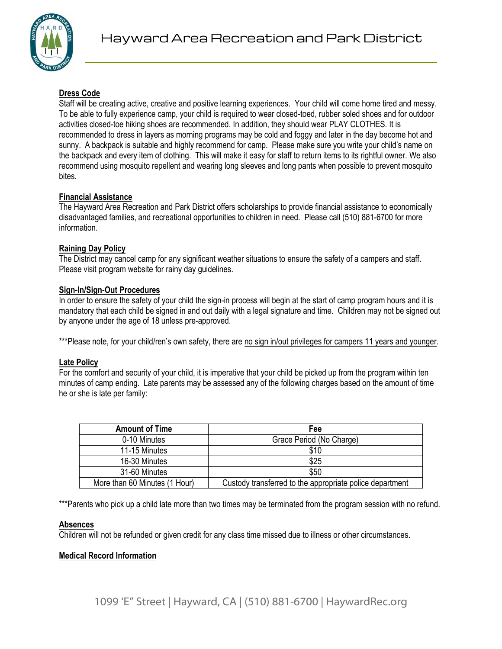

## **Dress Code**

Staff will be creating active, creative and positive learning experiences. Your child will come home tired and messy. To be able to fully experience camp, your child is required to wear closed-toed, rubber soled shoes and for outdoor activities closed-toe hiking shoes are recommended. In addition, they should wear PLAY CLOTHES. It is recommended to dress in layers as morning programs may be cold and foggy and later in the day become hot and sunny. A backpack is suitable and highly recommend for camp. Please make sure you write your child's name on the backpack and every item of clothing. This will make it easy for staff to return items to its rightful owner. We also recommend using mosquito repellent and wearing long sleeves and long pants when possible to prevent mosquito bites.

#### **Financial Assistance**

The Hayward Area Recreation and Park District offers scholarships to provide financial assistance to economically disadvantaged families, and recreational opportunities to children in need. Please call (510) 881-6700 for more information.

#### **Raining Day Policy**

The District may cancel camp for any significant weather situations to ensure the safety of a campers and staff. Please visit program website for rainy day guidelines.

## **Sign-In/Sign-Out Procedures**

In order to ensure the safety of your child the sign-in process will begin at the start of camp program hours and it is mandatory that each child be signed in and out daily with a legal signature and time. Children may not be signed out by anyone under the age of 18 unless pre-approved.

\*\*\*Please note, for your child/ren's own safety, there are no sign in/out privileges for campers 11 years and younger.

#### **Late Policy**

For the comfort and security of your child, it is imperative that your child be picked up from the program within ten minutes of camp ending. Late parents may be assessed any of the following charges based on the amount of time he or she is late per family:

| <b>Amount of Time</b>         | Fee                                                      |  |
|-------------------------------|----------------------------------------------------------|--|
| 0-10 Minutes                  | Grace Period (No Charge)                                 |  |
| 11-15 Minutes                 | \$10                                                     |  |
| 16-30 Minutes                 | \$25                                                     |  |
| 31-60 Minutes                 | \$50                                                     |  |
| More than 60 Minutes (1 Hour) | Custody transferred to the appropriate police department |  |

\*\*\*Parents who pick up a child late more than two times may be terminated from the program session with no refund.

## **Absences**

Children will not be refunded or given credit for any class time missed due to illness or other circumstances.

#### **Medical Record Information**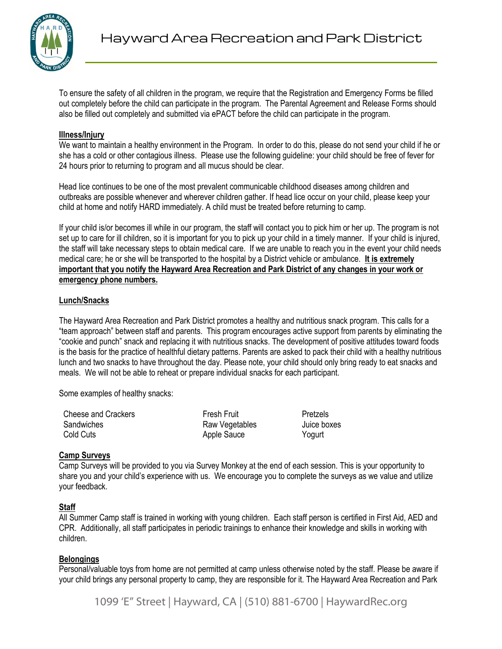

To ensure the safety of all children in the program, we require that the Registration and Emergency Forms be filled out completely before the child can participate in the program. The Parental Agreement and Release Forms should also be filled out completely and submitted via ePACT before the child can participate in the program.

## **Illness/Injury**

We want to maintain a healthy environment in the Program. In order to do this, please do not send your child if he or she has a cold or other contagious illness. Please use the following guideline: your child should be free of fever for 24 hours prior to returning to program and all mucus should be clear.

Head lice continues to be one of the most prevalent communicable childhood diseases among children and outbreaks are possible whenever and wherever children gather. If head lice occur on your child, please keep your child at home and notify HARD immediately. A child must be treated before returning to camp.

If your child is/or becomes ill while in our program, the staff will contact you to pick him or her up. The program is not set up to care for ill children, so it is important for you to pick up your child in a timely manner. If your child is injured, the staff will take necessary steps to obtain medical care. If we are unable to reach you in the event your child needs medical care; he or she will be transported to the hospital by a District vehicle or ambulance. **It is extremely important that you notify the Hayward Area Recreation and Park District of any changes in your work or emergency phone numbers.**

#### **Lunch/Snacks**

The Hayward Area Recreation and Park District promotes a healthy and nutritious snack program. This calls for a "team approach" between staff and parents. This program encourages active support from parents by eliminating the "cookie and punch" snack and replacing it with nutritious snacks. The development of positive attitudes toward foods is the basis for the practice of healthful dietary patterns. Parents are asked to pack their child with a healthy nutritious lunch and two snacks to have throughout the day. Please note, your child should only bring ready to eat snacks and meals. We will not be able to reheat or prepare individual snacks for each participant.

Some examples of healthy snacks:

| Cheese and Crackers | <b>Fresh Fruit</b> | Pretzels    |
|---------------------|--------------------|-------------|
| Sandwiches          | Raw Vegetables     | Juice boxes |
| Cold Cuts           | Apple Sauce        | Yogurt      |

## **Camp Surveys**

Camp Surveys will be provided to you via Survey Monkey at the end of each session. This is your opportunity to share you and your child's experience with us. We encourage you to complete the surveys as we value and utilize your feedback.

## **Staff**

All Summer Camp staff is trained in working with young children. Each staff person is certified in First Aid, AED and CPR. Additionally, all staff participates in periodic trainings to enhance their knowledge and skills in working with children.

#### **Belongings**

Personal/valuable toys from home are not permitted at camp unless otherwise noted by the staff. Please be aware if your child brings any personal property to camp, they are responsible for it. The Hayward Area Recreation and Park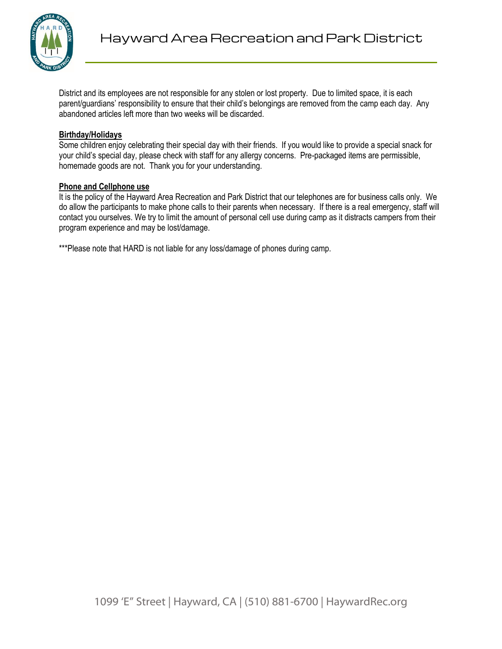

District and its employees are not responsible for any stolen or lost property. Due to limited space, it is each parent/guardians' responsibility to ensure that their child's belongings are removed from the camp each day. Any abandoned articles left more than two weeks will be discarded.

#### **Birthday/Holidays**

Some children enjoy celebrating their special day with their friends. If you would like to provide a special snack for your child's special day, please check with staff for any allergy concerns. Pre-packaged items are permissible, homemade goods are not. Thank you for your understanding.

#### **Phone and Cellphone use**

It is the policy of the Hayward Area Recreation and Park District that our telephones are for business calls only. We do allow the participants to make phone calls to their parents when necessary. If there is a real emergency, staff will contact you ourselves. We try to limit the amount of personal cell use during camp as it distracts campers from their program experience and may be lost/damage.

\*\*\*Please note that HARD is not liable for any loss/damage of phones during camp.